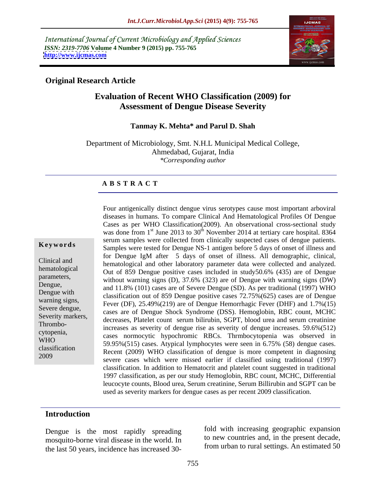International Journal of Current Microbiology and Applied Sciences *ISSN: 2319-7706* **Volume 4 Number 9 (2015) pp. 755-765 <http://www.ijcmas.com>**



# **Original Research Article**

# **Evaluation of Recent WHO Classification (2009) for Assessment of Dengue Disease Severity**

### **Tanmay K. Mehta\* and Parul D. Shah**

Department of Microbiology, Smt. N.H.L Municipal Medical College, Ahmedabad, Gujarat, India *\*Corresponding author*

## **A B S T R A C T**

2009

Four antigenically distinct dengue virus serotypes cause most important arboviral diseases in humans. To compare Clinical And Hematological Profiles Of Dengue Cases as per WHO Classification(2009). An observational cross-sectional study was done from 1<sup>st</sup> June 2013 to 30<sup>th</sup> November 2014 at tertiary care hospital. 8364 serum samples were collected from clinically suspected cases of dengue patients. Samples were tested for Dengue NS-1 antigen before 5 days of onset of illness and **Ke ywo rds** for Dengue IgM after 5 days of onset of illness. All demographic, clinical, hematological and other laboratory parameter data were collected and analyzed. Clinical and hematological Dut of 859 Dengue positive cases included in study50.6% (435) are of Dengue parameters,<br>without warning signs (D), 37.6% (323) are of Dengue with warning signs (DW) Dengue,<br>and 11.8% (101) cases are of Severe Dengue (SD). As per traditional (1997) WHO Dengue with<br>classification out of 859 Dengue positive cases 72.75%(625) cases are of Dengue warning signs,<br>
Fever (DF), 25.49%(219) are of Dengue Hemorrhagic Fever (DHF) and  $1.7\%$ (15) Severe dengue,<br>
cases are of Dengue Shock Syndrome (DSS). Hemoglobin, RBC count, MCHC Severity markers,<br>decreases, Platelet count serum bilirubin, SGPT, blood urea and serum creatinine Thrombo-<br>increases as severity of dengue rise as severity of dengue increases. 59.6%(512) cytopenia,<br>
cases normocytic hypochromic RBCs. Thrmbocytopenia was observed in WHO<br>59.95%(515) cases. Atypical lymphocytes were seen in 6.75% (58) dengue cases. classification<br>Recent (2009) WHO classification of dengue is more competent in diagnosing severe cases which were missed earlier if classified using traditional (1997) classification. In addition to Hematocrit and platelet count suggested in traditional 1997 classification, as per our study Hemoglobin, RBC count, MCHC, Differential leucocyte counts, Blood urea, Serum creatinine, Serum Billirubin and SGPT can be used as severity markers for dengue cases as per recent 2009 classification.

### **Introduction**

Dengue is the most rapidly spreading mosquito-borne viral disease in the world. In the last 50 years, incidence has increased 30-

fold with increasing geographic expansion to new countries and, in the present decade, from urban to rural settings. An estimated 50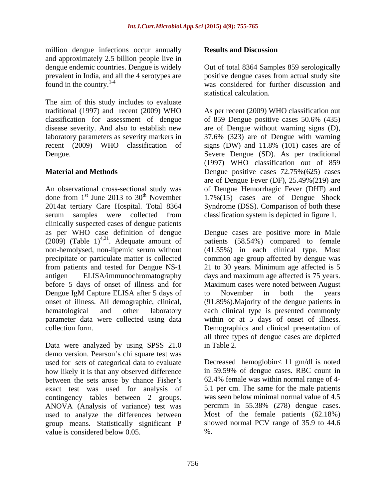million dengue infections occur annually **Results and Discussion** and approximately 2.5 billion people live in

The aim of this study includes to evaluate classification for assessment of dengue of 859 Dengue positive cases 50.6% (435)

An observational cross-sectional study was of Dengue Hemorrhagic Fever (DHF) and done from  $1<sup>st</sup>$  June 2013 to 30<sup>th</sup> November 1.7%(15) cases are of Dengue Shock 2014at tertiary Care Hospital. Total 8364 Syndrome (DSS). Comparison of both these serum samples were collected from clinically suspected cases of dengue patients (2009) (Table  $1)^{4,21}$ . Adequate amount of from patients and tested for Dengue NS-1 Dengue IgM Capture ELISA after 5 days of to November in both the years

Data were analyzed by using SPSS 21.0 in Table 2. demo version. Pearson's chi square test was used for sets of categorical data to evaluate Decreased hemoglobin< 11 gm/dl is noted how likely it is that any observed difference between the sets arose by chance Fisher's exact test was used for analysis of contingency tables between 2 groups. ANOVA (Analysis of variance) test was used to analyze the differences between group means. Statistically significant P showed normal PCV range of 35.9 to 44.6 value is considered below 0.05.

# **Results and Discussion**

dengue endemic countries. Dengue is widely Out of total 8364 Samples 859 serologically prevalent in India, and all the 4 serotypes are positive dengue cases from actual study site found in the country.<sup>1-4</sup> was considered for further discussion and statistical calculation.

traditional (1997) and recent (2009) WHO As per recent (2009) WHO classification out disease severity. And also to establish new are of Dengue without warning signs (D), laboratory parameters as severity markers in 37.6% (323) are of Dengue with warning recent (2009) WHO classification of signs (DW) and 11.8% (101) cases are of Dengue. Severe Dengue (SD). As per traditional **Material and Methods Dengue positive cases 72.75%(625)** cases of 859 Dengue positive cases 50.6% (435) (1997) WHO classification out of 859 are of Dengue Fever (DF), 25.49%(219) are classification system is depicted in figure 1.

as per WHO case definition of dengue Dengue cases are positive more in Male . Adequate amount of patients (58.54%) compared to female non-hemolysed, non-lipemic serum without (41.55%) in each clinical type. Most precipitate or particulate matter is collected common age group affected by dengue was antigen ELISA/immunochromatography days and maximum age affected is 75 years. before 5 days of onset of illness and for Maximum cases were noted between August onset of illness. All demographic, clinical, (91.89%).Majority of the dengue patients in hematological and other laboratory each clinical type is presented commonly parameter data were collected using data within or at 5 days of onset of illness. collection form. Demographics and clinical presentation of 21 to 30 years. Minimum age affected is 5 to November in both the years all three types of dengue cases are depicted in Table 2.

> in 59.59% of dengue cases. RBC count in 62.4% female was within normal range of 4- 5.1 per cm. The same for the male patients was seen below minimal normal value of 4.5 percmm in 55.38% (278) dengue cases. Most of the female patients (62.18%) %.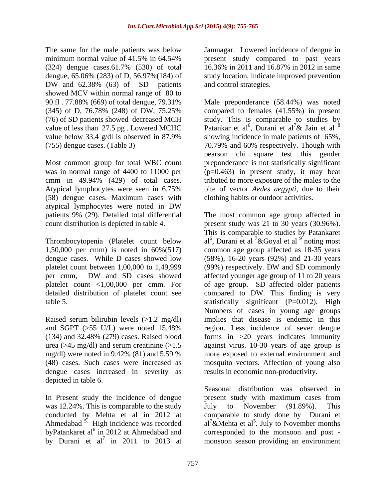The same for the male patients was below Jamnagar. Lowered incidence of dengue in minimum normal value of 41.5% in 64.54% present study compared to past years (324) dengue cases.61.7% (530) of total dengue, 65.06% (283) of D, 56.97%(184) of study location, indicate improved prevention DW and 62.38% (63) of SD patients and control strategies. showed MCV within normal range of 80 to (76) of SD patients showed decreased MCH

Most common group for total WBC count was in normal range of 4400 to 11000 per (58) dengue cases. Maximum cases with atypical lymphocytes were noted in DW

platelet count between 1,00,000 to 1,49,999 (99%) respectively. DW and SD commonly detailed distribution of platelet count see

urea ( $>45$  mg/dl) and serum creatinine ( $>1.5$ dengue cases increased in severity as depicted in table 6.

was 12.24%. This is comparable to the study buly to November (91.89%). This Ahmedabad  $5<sup>5</sup>$  High incidence was recorded byPatankaret al<sup>6</sup> in 2012 at Ahmedabad and<br>by Durani et al<sup>7</sup> in 2011 to 2013 at by Durani et al<sup>7</sup> in 2011 to 2013 at monsoon season providing an environment

present study compared to past years 16.36% in 2011 and 16.87% in 2012 in same and control strategies.

90 fl . 77.88% (669) of total dengue, 79.31% Male preponderance (58.44%) was noted (345) of D, 76.78% (248) of DW, 75.25% compared to females (41.55%) in present value of less than 27.5 pg. Lowered MCHC Patankar et al<sup>6</sup>, Durani et al<sup>7</sup> & Jain et al<sup>8</sup> value below 33.4 g/dl is observed in 87.9% showing incidence in male patients of 65%, (755) dengue cases. (Table 3) 70.79% and 60% respectively. Though with cmm in 49.94% (429) of total cases. tributed to more exposure of the males to the Atypical lymphocytes were seen in 6.75% bite of vector *Aedes aegypti*, due to their study. This is comparable to studies by , Durani et al<sup>7</sup> & Jain et al<sup>8</sup> showing incidence in male patients of 65%, pearson chi square test this gender preponderance is not statistically significant  $(p=0.463)$  in present study, it may beat bite of vector *Aedes aegypti,* due to their clothing habits or outdoor activities.

patients 9% (29). Detailed total differential The most common age group affected in count distribution is depicted in table 4. present study was 21 to 30 years (30.96%). Thrombocytopenia (Platelet count below al<sup>6</sup>, Durani et al <sup>7</sup> & Goyal et al  $9^{\circ}$  noting most 1,50,000 per cmm) is noted in 60%(517) common age group affected as 18-35 years dengue cases. While D cases showed low (58%), 16-20 years (92%) and 21-30 years per cmm, DW and SD cases showed affected younger age group of 11 to 20 years platelet count <1,00,000 per cmm. For of age group. SD affected older patients table 5. statistically significant (P=0.012). High Raised serum bilirubin levels (>1.2 mg/dl) implies that disease is endemic in this and SGPT (>55 U/L) were noted 15.48% region. Less incidence of sever dengue (134) and 32.48% (279) cases. Raised blood forms in >20 years indicates immunity mg/dl) were noted in 9.42% (81) and 5.59 % more exposed to external environment and (48) cases. Such cases were increased as mosquito vectors. Affection of young also This is comparable to studies by Patankaret noting most (99%) respectively. DW and SD commonly affected younger age group of 11 to 20 years compared to DW. This finding is very Numbers of cases in young age groups against virus. 10-30 years of age group is results in economic non-productivity.

In Present study the incidence of dengue present study with maximum cases from conducted by Mehta et al in 2012 at comparable to study done by Durani et in 2012 at Ahmedabad and corresponded to the monsoon and post - Seasonal distribution was observed in to November  $(91.89\%)$ . al<sup>7</sup>&Mehta et al<sup>5</sup>. July to November months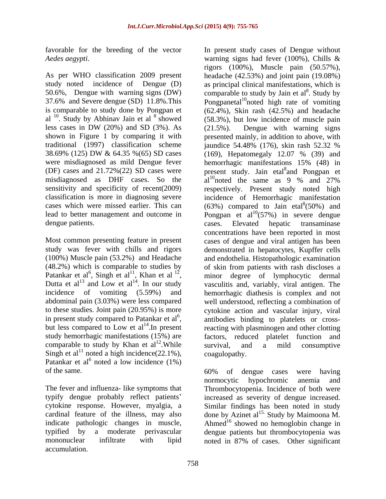were misdiagnosed as mild Dengue fever hemorrhagic manifestations 15% (48) in misdiagnosed as DHF cases. So the dengue patients. The cases. Elevated hepatic transaminase

in present study compared to Patankar et al<sup>6</sup>,<br>but less compared to Low et al<sup>14</sup>. In present comparable to study by Khan et  $al^{12}$ . While survival, and a mild consumptive Singh et al<sup>11</sup> noted a high incidence(22.1%), coagulopathy. Patankar et al<sup>6</sup> noted a low incidence  $(1\%)$ noted a low incidence (1%) of the same. 60% of dengue cases were having

mononuclear infiltrate with lipid noted in 87% of cases. Other significantaccumulation.

favorable for the breeding of the vector In present study cases of Dengue without *Aedes aegypti*. warning signs had fever (100%), Chills & As per WHO classification 2009 present headache (42.53%) and joint pain (19.08%) study noted incidence of Dengue (D) as principal clinical manifestations, which is 50.6%, Dengue with warning signs (DW) comparable to study by Jain et al. Study by 37.6% and Severe dengue (SD) 11.8%. This Pongpanetal<sup>10</sup>noted high rate of vomiting is comparable to study done by Pongpan et (62.4%), Skin rash (42.5%) and headache al  $^{10}$ . Study by Abhinav Jain et al  $^8$  showed (58.3%), but low incidence of muscle pain less cases in DW (20%) and SD (3%). As  $(21.5\%)$ . Dengue with warning signs shown in Figure 1 by comparing it with presented mainly, in addition to above, with traditional (1997) classification scheme jaundice 54.48% (176), skin rash 52.32 % 38.69% (125) DW & 64.35 %(65) SD cases (DF) cases and  $21.72\%(22)$  SD cases were present study. Jain etal<sup>8</sup> and Pongpan et sensitivity and specificity of recent(2009) respectively. Present study noted high classification is more in diagnosing severe incidence of Hemorrhagic manifestation cases which were missed earlier. This can  $(63%)$  compared to Jain etal  $(50%)$  and lead to better management and outcome in  $P_{\text{onspan}}$  et al<sup>10</sup>(57%) in severe dengue Most common presenting feature in present cases of dengue and viral antigen has been study was fever with chills and rigors demonstrated in hepatocytes, Kupffer cells (100%) Muscle pain (53.2%) and Headache and endothelia. Histopathologic examination (48.2%) which is comparable to studies by of skin from patients with rash discloses a Patankar et al<sup>6</sup>, Singh et al<sup>11</sup>, Khan et al<sup>12</sup>, minor degree of lymphocytic dermal<br>Dutta et al<sup>13</sup> and Low et al<sup>14</sup>. In our study vasculitis and, variably, viral antigen. The , Singh et al<sup>11</sup>, Khan et al<sup>12</sup>, minor degree of lymphocytic dermal and Low et  $al<sup>14</sup>$ . In our study vasculitis and, variably, viral antigen. The incidence of vomiting (5.59%) and hemorrhagic diathesis is complex and not abdominal pain (3.03%) were less compared well understood, reflecting a combination of to these studies. Joint pain (20.95%) is more cytokine action and vascular injury, viral in present study compared to Patankar et al<sup>o</sup>, antibodies binding to platelets or cross-<br>but less compared to Low et al<sup>14</sup>. In present reacting with plasminogen and other clotting .In present reacting with plasminogen and other clotting study hemorrhagic manifestations (15%) are factors, reduced platelet function and rigors (100%), Muscle pain (50.57%), . Study by (58.3%), but low incidence of muscle pain (21.5%). Dengue with warning signs (169), Hepatomegaly 12.07 % (39) and hemorrhagic manifestations 15% (48) in and Pongpan et al<sup>10</sup>noted the same as  $9\%$  and  $27\%$ noted the same as 9 % and 27% (50%) and cases. Elevated hepatic transaminase concentrations have been reported in most antibodies binding to platelets or crosssurvival, and a mild consumptive coagulopathy.

The fever and influenza- like symptoms that Thrombocytopenia. Incidence of both were typify dengue probably reflect patients increased as severity of dengue increased. cytokine response. However, myalgia, a Similar findings has been noted in study cardinal feature of the illness, may also  $\qquad$  done by Azinet al<sup>15.</sup> Study by Maimoona M. indicate pathologic changes in muscle, Ahmed<sup>16</sup> showed no hemoglobin change in typified by a moderate perivascular dengue patients but thrombocytopenia was 60% of dengue cases were having normocytic hypochromic anemia and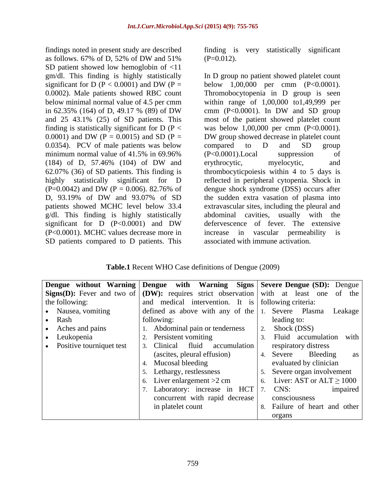findings noted in present study are described finding is very statistically significant as follows. 67% of D, 52% of DW and 51% (P= $0.012$ ). SD patient showed low hemoglobin of <11 0.0354). PCV of male patients was below compared to D and SD group g/dl. This finding is highly statistically abdominal cavities, usually with the (P<0.0001). MCHC values decrease more in SD patients compared to D patients. This

 $(P=0.012)$ .

gm/dl. This finding is highly statistically In D group no patient showed platelet count significant for D ( $P < 0.0001$ ) and DW ( $P =$  below 1,00,000 per cmm ( $P < 0.0001$ ). 0.0002). Male patients showed RBC count Thromobocytopenia in D group is seen below minimal normal value of 4.5 per cmm within range of 1,00,000 to1,49,999 per in 62.35% (164) of D, 49.17 % (89) of DW and 25 43.1% (25) of SD patients. This most of the patient showed platelet count finding is statistically significant for  $D (P <$  was below 1,00,000 per cmm  $(P < 0.0001)$ . 0.0001) and DW ( $P = 0.0015$ ) and SD ( $P = 0.0015$ ) BD U group showed decrease in platelet count minimum normal value of 41.5% in 69.96% (P<0.0001). Local suppression of (184) of D, 57.46% (104) of DW and 62.07% (36) of SD patients. This finding is thrombocyticpoiesis within 4 to 5 days is highly statistically significant for D reflected in peripheral cytopenia. Shock in  $(P=0.0042)$  and DW  $(P = 0.006)$ . 82.76% of dengue shock syndrome (DSS) occurs after D, 93.19% of DW and 93.07% of SD patients showed MCHC level below 33.4 extravascular sites, including the pleural and significant for D (P<0.0001) and DW defervescence of fever. The extensive below 1,00,000 per cmm (P<0.0001). cmm (P<0.0001). In DW and SD group DW group showed decrease in platelet count compared to D and SD group (P<0.0001).Local suppression of erythrocytic, myelocytic, and dengue shock syndrome (DSS) occurs after the sudden extra vasation of plasma into abdominal cavities, usually with defervescence of fever. The extensive increase in vascular permeability is associated with immune activation.

**Table.1** Recent WHO Case definitions of Dengue (2009)

|                          | Dengue without Warning Dengue with Warning Signs Severe Dengue (SD): Dengue                                  |                               |
|--------------------------|--------------------------------------------------------------------------------------------------------------|-------------------------------|
|                          | <b>Signs(D):</b> Fever and two of $\vert$ (DW): requires strict observation with at least one of the $\vert$ |                               |
| the following:           | and medical intervention. It is following criteria:                                                          |                               |
| • Nausea, vomiting       | defined as above with any of the $\vert$ 1.                                                                  | Severe Plasma Leakage         |
| • Rash                   | following:                                                                                                   | leading to:                   |
| Aches and pains          | 1. Abdominal pain or tenderness                                                                              | Shock (DSS)                   |
| Leukopenia               | Persistent vomiting                                                                                          | Fluid accumulation with       |
| Positive tourniquet test | Clinical fluid accumulation                                                                                  | respiratory distress          |
|                          | (ascites, pleural effusion)                                                                                  | 4. Severe Bleeding as         |
|                          | Mucosal bleeding                                                                                             | evaluated by clinician        |
|                          | Lethargy, restlessness                                                                                       | Severe organ involvement      |
|                          | Liver enlargement $>2$ cm                                                                                    | Liver: AST or $ALT \ge 1000$  |
|                          | Laboratory: increase in HCT 7. CNS:                                                                          | impaired                      |
|                          | concurrent with rapid decrease                                                                               | consciousness                 |
|                          | in platelet count                                                                                            | 3. Failure of heart and other |
|                          |                                                                                                              | organs                        |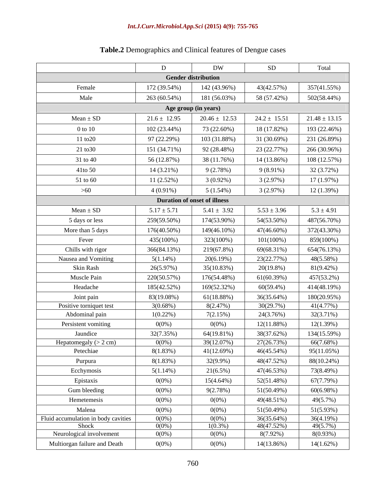# *Int.J.Curr.Microbiol.App.Sci* **(2015) 4(9): 755-765**

|                                              |                       | <b>DW</b>                           | SD                       | Total                       |
|----------------------------------------------|-----------------------|-------------------------------------|--------------------------|-----------------------------|
|                                              |                       | <b>Gender distribution</b>          |                          |                             |
| Female                                       | 172 (39.54%)          | 142 (43.96%)                        | 43(42.57%)               | 357(41.55%)                 |
| Male                                         | 263 (60.54%)          | 181 (56.03%)                        | 58 (57.42%)              | 502(58.44%)                 |
|                                              |                       | Age group (in years)                |                          |                             |
| $Mean \pm SD$                                | $21.6 \pm 12.95$      | $20.46 \pm 12.53$                   | $24.2 \pm 15.51$         | $21.48 \pm 13.15$           |
| $0$ to $10$                                  | $102(23.44\%)$        | 73 (22.60%)                         | 18 (17.82%)              | 193 (22.46%)                |
| $11 \text{ to } 20$                          | 97 (22.29%)           | 103 (31.88%)                        | 31 (30.69%)              | 231 (26.89%)                |
| $21 \text{ to } 30$                          | 151 (34.71%)          | 92 (28.48%)                         | 23 (22.77%)              | 266 (30.96%)                |
| 31 to 40                                     | 56 (12.87%)           | 38 (11.76%)                         | 14 (13.86%)              | 108 (12.57%)                |
| 41to 50                                      | 14 (3.21%)            | 9(2.78%)                            | $9(8.91\%)$              | 32 (3.72%)                  |
|                                              |                       |                                     |                          |                             |
| 51 to 60                                     | $11(2.52\%)$          | $3(0.92\%)$                         | 3(2.97%)                 | 17(1.97%)                   |
| >60                                          | $4(0.91\%)$           | $5(1.54\%)$                         | 3(2.97%)                 | 12(1.39%)                   |
|                                              |                       | <b>Duration of onset of illness</b> |                          |                             |
| $Mean \pm SD$                                | $5.17 \pm 5.71$       | $5.41 \pm 3.92$                     | $5.53 \pm 3.96$          | $5.3 \pm 4.91$              |
| 5 days or less                               | 259(59.50%)           | 174(53.90%)                         | 54(53.50%)               | 487(56.70%)                 |
| More than 5 days                             | 176(40.50%)           | 149(46.10%)                         | 47(46.60%)               | 372(43.30%)                 |
| Fever                                        | 435(100%)             | 323(100%)                           | $101(100\%)$             | 859(100%)                   |
| Chills with rigor                            | 366(84.13%)           | 219(67.8%)                          | 69(68.31%)               | 654(76.13%)                 |
| Nausea and Vomiting                          | $5(1.14\%)$           | 20(6.19%)                           | 23(22.77%)               | 48(5.58%)                   |
| Skin Rash                                    | 26(5.97%)             | 35(10.83%)                          | $20(19.8\%)$             | 81(9.42%)                   |
| Muscle Pain                                  | 220(50.57%)           | 176(54.48%)                         | 61(60.39%)               | 457(53.2%)                  |
| Headache                                     | 185(42.52%)           | 169(52.32%)                         | 60(59.4%)                | 414(48.19%)                 |
| Joint pain                                   | 83(19.08%)            | 61(18.88%)                          | 36(35.64%)               | 180(20.95%)                 |
| Positive torniquet test                      | $3(0.68\%)$           | 8(2.47%)                            | 30(29.7%)                | 41(4.77%)                   |
| Abdominal pain                               | $1(0.22\%)$           | 7(2.15%)                            | 24(3.76%)                | 32(3.71%)                   |
| Persistent vomiting                          | $0(0\%)$              | $0(0\%)$                            | $12(11.88\%)$            | 12(1.39%)                   |
| Jaundice                                     | 32(7.35%)<br>$0(0\%)$ | 64(19.81%)<br>39(12.07%)            | 38(37.62%)               | 134(15.59%)<br>66(7.68%)    |
| Hepatomegaly $(> 2 \text{ cm})$<br>Petechiae | 8(1.83%)              | 41(12.69%)                          | 27(26.73%)<br>46(45.54%) | $\frac{1}{2}$<br>95(11.05%) |
| Purpura                                      | 8(1.83%)              | 32(9.9%)                            | 48(47.52%)               | 88(10.24%)                  |
| Ecchymosis                                   | $5(1.14\%)$           | 21(6.5%)                            | 47(46.53%)               | 73(8.49%)                   |
| Epistaxis                                    | $0(0\%)$              | $15(4.64\%)$                        | 52(51.48%)               | 67(7.79%)                   |
| Gum bleeding                                 | $0(0\%)$              | 9(2.78%)                            | 51(50.49%)               | 60(6.98%)                   |
| Hemetemesis                                  | $0(0\%)$              | $0(0\%)$                            | 49(48.51%)               | 49(5.7%)                    |
| Malena                                       | $0(0\%)$              | $0(0\%)$                            | 51(50.49%)               | 51(5.93%)                   |
| Fluid accumulation in body cavities          | $0(0\%)$              | $0(0\%)$                            | 36(35.64%)               | 36(4.19%)                   |
| Shock                                        | $0(0\%)$              | $1(0.3\%)$                          | 48(47.52%)               | 49(5.7%)                    |
| Neurological involvement                     | $0(0\%)$              | $0(0\%)$                            | 8(7.92%)                 | 8(0.93%)                    |
| Multiorgan failure and Death                 | $0(0\%)$              | $0(0\%)$                            | 14(13.86%)               | 14(1.62%)                   |

# **Table.2** Demographics and Clinical features of Dengue cases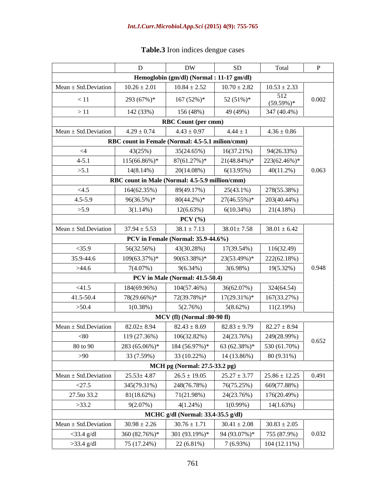| Table.3 Iron<br>$\cdots$<br>cases<br>dengue<br>-indice |  |  |
|--------------------------------------------------------|--|--|
|                                                        |  |  |

|                           |                                                             | DW                                                                                                                         | SD                             | Total                                | $\mathbf{P}$ |
|---------------------------|-------------------------------------------------------------|----------------------------------------------------------------------------------------------------------------------------|--------------------------------|--------------------------------------|--------------|
|                           |                                                             | Hemoglobin (gm/dl) (Normal: 11-17 gm/dl)                                                                                   |                                |                                      |              |
| $Mean \pm Std.Deviation$  | $10.26 \pm 2.01$                                            | $10.84 \pm 2.52$                                                                                                           | $10.70 \pm 2.82$               | $10.53 \pm 2.33$                     |              |
| $\leq 11$                 | 293 (67%)*                                                  | $167(52\%)*$                                                                                                               | $52(51\%)*$                    | 512<br>$(59.59\%)*$                  | 0.002        |
| >11                       | 142 (33%)                                                   | 156 (48%)                                                                                                                  | 49 (49%)                       | 347 (40.4%)                          |              |
|                           |                                                             | <b>RBC Count (per cmm)</b>                                                                                                 |                                |                                      |              |
| Mean $\pm$ Std. Deviation | $4.29 \pm 0.74$                                             | $4.43 \pm 0.97$                                                                                                            | $4.44 \pm 1$                   | $4.36 \pm 0.86$                      |              |
|                           | RBC count in Female (Normal: 4.5-5.1 milion/cmm)            |                                                                                                                            |                                |                                      |              |
| $\leq$ 4                  | 43(25%)                                                     | 35(24.65%)                                                                                                                 | $16(37.21\%)$                  | 94(26.33%)                           |              |
| $4 - 5.1$                 | $115(66.86\%)*$                                             | $87(61.27%)$ *                                                                                                             | $21(48.84\%)*$                 | 223(62.46%)*                         |              |
| >5.1                      | $14(8.14\%)$                                                | 20(14.08%)                                                                                                                 | $6(13.95\%)$                   | $40(11.2\%)$                         | 0.063        |
|                           | RBC count in Male (Normal: 4.5-5.9 million/cmm)             |                                                                                                                            |                                |                                      |              |
| $\leq 4.5$                | 164(62.35%)                                                 | 89(49.17%)                                                                                                                 | $25(43.1\%)$                   | 278(55.38%)                          |              |
| $4.5 - 5.9$<br>>5.9       | $96(36.5%)$ *<br>$3(1.14\%)$                                | $80(44.2\%)*$<br>$12(6.63\%)$                                                                                              | $27(46.55\%)*$<br>$6(10.34\%)$ | 203(40.44%)<br>21(4.18%)             |              |
|                           |                                                             | $PCV$ (%)                                                                                                                  |                                |                                      |              |
| $Mean \pm Std.Deviation$  | $37.94 \pm 5.53$                                            | $38.1 \pm 7.13$                                                                                                            |                                | $38.01 \pm 7.58$<br>$38.01 \pm 6.42$ |              |
|                           |                                                             | <b>PCV</b> in Female (Normal: 35.9-44.6%)                                                                                  |                                |                                      |              |
| $<$ 35.9                  | 56(32.56%)                                                  | 43(30.28%)                                                                                                                 | 17(39.54%)                     | 116(32.49)                           |              |
| 35.9-44.6                 | $109(63.37%)$ *                                             | $90(63.38\%)*$                                                                                                             | 23(53.49%)*                    | 222(62.18%)                          |              |
| >44.6                     | 7(4.07%)                                                    | 9(6.34%)                                                                                                                   | $3(6.98\%)$                    | $19(5.32\%)$                         | 0.948        |
|                           |                                                             | PCV in Male (Normal: 41.5-50.4)                                                                                            |                                |                                      |              |
| $<$ 41.5                  | 184(69.96%)                                                 | 104(57.46%)                                                                                                                | 36(62.07%)                     | 324(64.54)                           |              |
| 41.5-50.4                 | 78(29.66%)*                                                 | 72(39.78%)*                                                                                                                | $17(29.31\%)*$                 | 167(33.27%)                          |              |
| >50.4                     | $1(0.38\%)$                                                 | 5(2.76%)                                                                                                                   | $5(8.62\%)$                    | 11(2.19%)                            |              |
|                           |                                                             | <b>MCV</b> (fl) (Normal :80-90 fl)                                                                                         |                                |                                      |              |
| $Mean \pm Std.Deviation$  | $82.02 \pm 8.94$                                            | $82.43 \pm 8.69$                                                                                                           | $82.83 \pm 9.79$               | $82.27 \pm 8.94$                     |              |
| $< \!\!80$                | 119 (27.36%)                                                | 106(32.82%)                                                                                                                | 24(23.76%)                     | 249(28.99%)                          | 0.652        |
| 80 to 90                  | 283 (65.06%)*   184 (56.97%)*   63 (62.38%)*   530 (61.70%) |                                                                                                                            |                                |                                      |              |
| >90                       | 33 (7.59%)                                                  | 33 (10.22%) 14 (13.86%) 80 (9.31%)                                                                                         |                                |                                      |              |
|                           |                                                             | MCH pg (Normal: 27.5-33.2 pg)                                                                                              |                                |                                      |              |
| $Mean \pm Std.Deviation$  | $25.53 \pm 4.87$                                            | $\begin{array}{ c c c c c c c c c } \hline 26.5 \pm 19.05 & 25.27 \pm 3.77 & 25.86 \pm 12.25 & 0.491 \\\hline \end{array}$ |                                |                                      |              |
| <27.5                     | 345(79.31%)                                                 | 248(76.78%)                                                                                                                | 76(75.25%)                     | 669(77.88%)                          |              |
| 27.5to 33.2               | 81(18.62%)                                                  | 71(21.98%)                                                                                                                 | 24(23.76%)                     | 176(20.49%)                          |              |
| >33.2                     | 9(2.07%)                                                    | $4(1.24\%)$<br>MCHC g/dl (Normal: 33.4-35.5 g/dl)                                                                          | $1(0.99\%)$                    | $14(1.63\%)$                         |              |
| $Mean \pm Std.Deviation$  | $30.98 \pm 2.26$                                            | $30.76 \pm 1.71$ $30.41 \pm 2.08$ $30.83 \pm 2.05$                                                                         |                                |                                      |              |
| $<$ 33.4 g/dl             | 360 (82.76%)*                                               | $\begin{array}{ c c c c c c c c c } \hline 301 & (93.19\%)^* & 94 & (93.07\%)^* & 755 & (87.9\%) \hline \end{array}$       |                                |                                      | 0.032        |
| $>33.4$ g/dl              | 75 (17.24%)                                                 | 22 (6.81%)                                                                                                                 | $7(6.93\%)$                    | $104(12.11\%)$                       |              |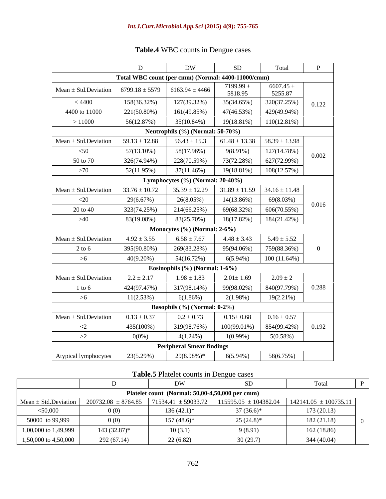|                                        | $\Gamma$                                           | <b>DW</b>                           | SD                                                    | Total                    |       |
|----------------------------------------|----------------------------------------------------|-------------------------------------|-------------------------------------------------------|--------------------------|-------|
|                                        | Total WBC count (per cmm) (Normal: 4400-11000/cmm) |                                     |                                                       |                          |       |
| Mean $\pm$ Std. Deviation              | $6799.18 \pm 5579$ 6163.94 ± 4466                  |                                     | 7199.99 $\pm$<br>5818.95                              | 6607.45 $\pm$<br>5255.87 |       |
| < 4400                                 | 158(36.32%)                                        | 127(39.32%)                         | 35(34.65%)                                            | 320(37.25%)              | 0.122 |
| 4400 to 11000                          | 221(50.80%)                                        | 161(49.85%)                         | 47(46.53%)                                            | 429(49.94%)              |       |
| >11000                                 | 56(12.87%)                                         | 35(10.84%)                          | $19(18.81\%)$ $110(12.81\%)$                          |                          |       |
|                                        |                                                    | Neutrophils $(\%)$ (Normal: 50-70%) |                                                       |                          |       |
| $Mean \pm Std.Deviation$               | $59.13 \pm 12.88$                                  | $56.43 \pm 15.3$                    | $61.48 \pm 13.38$ 58.39 $\pm$ 13.98                   |                          |       |
| $<$ 50                                 | 57(13.10%)                                         | 58(17.96%)                          | 9(8.91%)                                              | 127(14.78%)              | 0.002 |
| 50 to 70                               | 326(74.94%)                                        | 228(70.59%)                         | 73(72.28%)                                            | 627(72.99%)              |       |
| >70                                    | 52(11.95%)                                         | 37(11.46%)                          | 19(18.81%)                                            | 108(12.57%)              |       |
|                                        |                                                    | Lymphocytes $(\%)$ (Normal: 20-40%) |                                                       |                          |       |
| $Mean \pm Std.Deviation$               | $33.76 \pm 10.72$                                  |                                     | $35.39 \pm 12.29$ $31.89 \pm 11.59$ $34.16 \pm 11.48$ |                          |       |
| $<$ 20                                 | 29(6.67%)                                          | 26(8.05%)                           | 14(13.86%)                                            | 69(8.03%)                | 0.016 |
| 20 to 40                               | 323(74.25%)                                        | 214(66.25%)                         | 69(68.32%)                                            | 606(70.55%)              |       |
| >40                                    | 83(19.08%)                                         | 83(25.70%)                          | 18(17.82%)                                            | 184(21.42%)              |       |
|                                        |                                                    | Monocytes $(\%)$ (Normal: 2-6%)     |                                                       |                          |       |
| Mean $\pm$ Std. Deviation              | $4.92 \pm 3.55$                                    | $6.58 \pm 7.67$                     | $4.48 \pm 3.43$                                       | $5.49 \pm 5.52$          |       |
| 2 to 6                                 | 395(90.80%)                                        | 269(83.28%)                         | 95(94.06%)                                            | 759(88.36%)              |       |
| >6                                     | 40(9.20%)                                          | 54(16.72%)                          | $6(5.94\%)$                                           | $100(11.64\%)$           |       |
|                                        |                                                    | Eosinophils $(\%)$ (Normal: 1-6%)   |                                                       |                          |       |
| Mean $\pm$ Std. Deviation              | $2.2 \pm 2.17$                                     | $1.98 \pm 1.83$                     | $2.01 \pm 1.69$                                       | $2.09 \pm 2$             |       |
| $1$ to 6                               | 424(97.47%)                                        | 317(98.14%)                         | 99(98.02%)                                            | 840(97.79%)              | 0.288 |
| >6                                     | 11(2.53%)                                          | 6(1.86%)                            | 2(1.98%)                                              | $19(2.21\%)$             |       |
|                                        |                                                    | Basophils $(\%)$ (Normal: $0-2\%$ ) |                                                       |                          |       |
| $Mean \pm Std.Deviation$               | $0.13 \pm 0.37$                                    | $0.2 \pm 0.73$                      | $0.15 \pm 0.68$                                       | $0.16 \pm 0.57$          |       |
| $\leq$                                 | 435(100%)                                          | 319(98.76%)                         | $100(99.01\%)$                                        | 854(99.42%)              | 0.192 |
| >2                                     | $0(0\%)$                                           | $4(1.24\%)$                         | $1(0.99\%)$                                           | $5(0.58\%)$              |       |
|                                        |                                                    | <b>Peripheral Smear findings</b>    |                                                       |                          |       |
| Atypical lymphocytes $\vert$ 23(5.29%) |                                                    | $29(8.98\%)*$                       | $6(5.94\%)$                                           | 58(6.75%)                |       |

# **Table.4** WBC counts in Dengue cases

**Table.5** Platelet counts in Dengue cases

|                      |              | $\mathbf{N}$                                                                 |                                                       | Total       |  |
|----------------------|--------------|------------------------------------------------------------------------------|-------------------------------------------------------|-------------|--|
|                      |              | Platelet count (Normal: 50,00-4,50,000 per cmm)                              |                                                       |             |  |
|                      |              | Mean $\pm$ Std.Deviation   200732.08 $\pm$ 8764.85   71534.41 $\pm$ 59033.72 | $115595.05 \pm 104382.04$   142141.05 $\pm$ 100735.11 |             |  |
| $<$ 50,000           |              | $136(42.1)$ *                                                                | $37(36.6)*$                                           | 173(20.13)  |  |
| 50000 to 99,999      |              | $157(48.6)$ *                                                                | $25(24.8)$ *                                          | 182 (21.18) |  |
| 1,00,000 to 1,49,999 | 143 (32.87)* | 10(3.1)                                                                      | 9(8.91)                                               | 162 (18.86) |  |
| 1,50,000 to 4,50,000 | 292(67)      | 22 (6.82)                                                                    | 30(29.7)                                              | 344 (40.04) |  |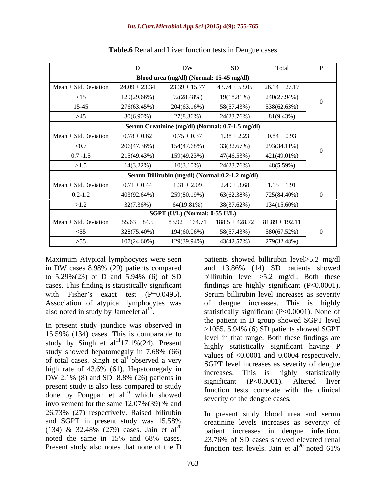|                          |                                                 | <b>DW</b>                                                    | <b>SD</b>                           | Total             |  |  |  |  |
|--------------------------|-------------------------------------------------|--------------------------------------------------------------|-------------------------------------|-------------------|--|--|--|--|
|                          |                                                 | Blood urea (mg/dl) (Normal: 15-45 mg/dl)                     |                                     |                   |  |  |  |  |
| $Mean \pm Std.Deviation$ | $24.09 \pm 23.34$                               |                                                              | $23.39 \pm 15.77$ $43.74 \pm 53.05$ | $26.14 \pm 27.17$ |  |  |  |  |
| $\leq 15$                | 129(29.66%)                                     | 92(28.48%)                                                   | 19(18.81%)                          | 240(27.94%)       |  |  |  |  |
| 15-45                    | 276(63.45%)                                     | 204(63.16%)                                                  | 58(57.43%)                          | 538(62.63%)       |  |  |  |  |
| $>45$                    | $30(6.90\%)$                                    | 27(8.36%)                                                    | 24(23.76%)                          | 81(9.43%)         |  |  |  |  |
|                          |                                                 | Serum Creatinine (mg/dl) (Normal: 0.7-1.5 mg/dl)             |                                     |                   |  |  |  |  |
| $Mean \pm Std.Deviation$ | $0.78 \pm 0.62$                                 | $0.75 \pm 0.37$                                              | $1.38 \pm 2.23$                     | $0.84 \pm 0.93$   |  |  |  |  |
| < 0.7                    | 206(47.36%)                                     | 154(47.68%)                                                  | 33(32.67%)                          | 293(34.11%)       |  |  |  |  |
| $0.7 - 1.5$              | 215(49.43%)                                     | 159(49.23%)                                                  | 47(46.53%)                          | 421(49.01%)       |  |  |  |  |
| >1.5                     | $14(3.22\%)$                                    | $10(3.10\%)$                                                 | 24(23.76%)                          | 48(5.59%)         |  |  |  |  |
|                          | Serum Billirubin (mg/dl) (Normal:0.2-1.2 mg/dl) |                                                              |                                     |                   |  |  |  |  |
| $Mean \pm Std.Deviation$ | $0.71 \pm 0.44$                                 | $1.31 \pm 2.09$                                              | $2.49 \pm 3.68$                     | $1.15 \pm 1.91$   |  |  |  |  |
| $0.2 - 1.2$              | 403(92.64%)                                     | 259(80.19%)                                                  | 63(62.38%)                          | 725(84.40%)       |  |  |  |  |
| >1.2                     | 32(7.36%)                                       | 64(19.81%)                                                   | 38(37.62%)                          | 134(15.60%)       |  |  |  |  |
|                          | SGPT (U/L) (Normal: 0-55 U/L)                   |                                                              |                                     |                   |  |  |  |  |
| $Mean \pm Std.Deviation$ | $55.63 \pm 84.5$                                | $83.92 \pm 164.71$   $188.5 \pm 428.72$   $81.89 \pm 192.11$ |                                     |                   |  |  |  |  |
| $\leq$ 55                | 328(75.40%)                                     | 194(60.06%)                                                  | 58(57.43%)                          | 580(67.52%)       |  |  |  |  |
| $>55$                    | $107(24.60\%)$                                  | 129(39.94%)                                                  | 43(42.57%)                          | 279(32.48%)       |  |  |  |  |

|  | Table.6 Renal and Liver function tests in 1<br>I Dengue cases |  |  |
|--|---------------------------------------------------------------|--|--|
|--|---------------------------------------------------------------|--|--|

Association of atypical lymphocytes was

In present study jaundice was observed in 15.59% (134) cases. This is comparable to study by Singh et al<sup>11</sup>17.1%(24). Present of total cases. Singh et  $al<sup>11</sup>$ observed a very high rate of 43.6% (61). Hepatomegaly in increases. This is highly statistically  $PW$  2.1% (8) and  $3D$  8.8% (20) patients in significant (P<0.0001). Altered liver present study is also less compared to study done by Pongpan et  $al^{10}$  which showed involvement for the same 12.07%(39) % and 26.73% (27) respectively. Raised bilirubin and SGPT in present study was 15.58% (134) & 32.48% (279) cases. Jain et al<sup>20</sup> noted the same in 15% and 68% cases. 23.76% of SD cases showed elevated renal

Maximum Atypical lymphocytes were seen patients showed billirubin level>5.2 mg/dl in DW cases 8.98% (29) patients compared to 5.29%(23) of D and 5.94% (6) of SD billirubin level  $>5.2$  mg/dl. Both these cases. This finding is statistically significant findings are highly significant (P<0.0001). with Fisher's exact test (P=0.0495). Serum billirubin level increases as severity also noted in study by Jameelet  $al^{17}$ . statistically significant (P<0.0001). None of study showed hepatomegaly in  $7.68\%$  (66)  $\frac{m_1m_2}{\text{volume of }20,0001 \text{ and } 0,0004}$  respectively observed a very sGPT level increases as severity of dengue  $DW$  2.1% (8) and SD 8.8% (26) patients in  $\frac{1}{2}$  is  $\frac{1}{2}$  and  $\frac{1}{2}$  and  $\frac{1}{2}$  and  $\frac{1}{2}$  but  $\frac{1}{2}$  alternative in  $\frac{1}{2}$ which showed severity of the dengue cases and 13.86% (14) SD patients showed of dengue increases. This is highly the patient in D group showed SGPT level >1055. 5.94% (6) SD patients showed SGPT level in that range. Both these findings are highly statistically significant having P values of <0.0001 and 0.0004 respectively. increases. This is highly statistically significant (P<0.0001). Altered liver function tests correlate with the clinical severity of the dengue cases.

Present study also notes that none of the D  $\frac{1}{20}$  function test levels. Jain et al<sup>20</sup> noted 61% In present study blood urea and serum creatinine levels increases as severity of patient increases in dengue infection.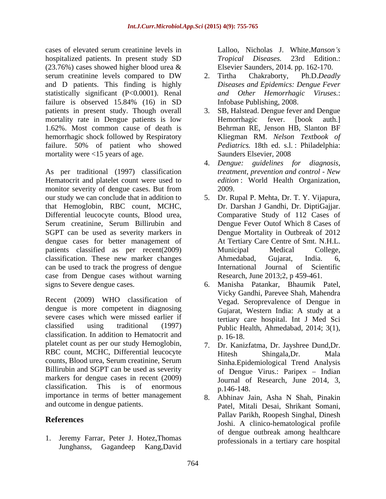cases of elevated serum creatinine levels in hospitalized patients. In present study SD Tropical Diseases. 23rd Edition.:  $(23.76%)$  cases showed higher blood urea  $\&$  Elsevier Saunders, 2014. pp. 162-170. serum creatinine levels compared to DW 2. Tirtha Chakraborty, Ph.D.Deadly and D patients. This finding is highly statistically significant (P<0.0001). Renal failure is observed 15.84% (16) in SD Infobase Publishing, 2008. mortality rate in Dengue patients is low Hemorrhagic fever. [book auth.] 1.62%. Most common cause of death is hemorrhagic shock followed by Respiratory failure. 50% of patient who showed mortality were <15 years of age. Saunders Elsevier, 2008

As per traditional (1997) classification Hematocrit and platelet count were used to monitor severity of dengue cases. But from 2009.<br>our study we can conclude that in addition to 5. Dr. R that Hemoglobin, RBC count, MCHC, Differential leucocyte counts, Blood urea, Serum creatinine, Serum Billirubin and SGPT can be used as severity markers in dengue cases for better management of patients classified as per recent(2009) Municipal Medical College, classification. These new marker changes can be used to track the progress of dengue International Journal of Scientific case from Dengue cases without warning<br>signs to Severe dengue cases.

Recent (2009) WHO classification of dengue is more competent in diagnosing severe cases which were missed earlier if classification. In addition to Hematocrit and platelet count as per our study Hemoglobin, RBC count, MCHC, Differential leucocyte Hitesh Shingala, Dr. Mala counts, Blood urea, Serum creatinine, Serum Billirubin and SGPT can be used as severity markers for dengue cases in recent (2009) importance in terms of better management

1. Jeremy Farrar, Peter J. Hotez,Thomas Junghanss, Gagandeep Kang,David

Lalloo, Nicholas J. White.*Manson's Tropical Diseases.* 23rd Edition.: Elsevier Saunders, 2014. pp. 162-170.

- 2. Tirtha Chakraborty, Ph.D.*Deadly Diseases and Epidemics: Dengue Fever and Other Hemorrhagic Viruses.*: Infobase Publishing, 2008.
- patients in present study. Though overall 3. SB, Halstead. Dengue fever and Dengue Hemorrhagic fever. [book auth.] Behrman RE, Jenson HB, Slanton BF Kliegman RM. *Nelson Textbook of Pediatrics.* 18th ed. s.l. : Philadelphia: Saunders Elsevier, 2008
	- 4. *Dengue: guidelines for diagnosis, treatment, prevention and control - New edition* : World Health Organization, 2009.
- our study we can conclude that in addition to 5. Dr. Rupal P. Mehta, Dr. T. Y. Vijapura, Dr. Darshan J Gandhi, Dr. DiptiGajjar. Comparative Study of 112 Cases of Dengue Fever Outof Which 8 Cases of Dengue Mortality in Outbreak of 2012 At Tertiary Care Centre of Smt. N.H.L. Municipal Medical College, Ahmedabad, Gujarat, India. 6, International Journal of Scientific Research, June 2013;2, p 459-461.
- signs to Severe dengue cases. 6. Manisha Patankar, Bhaumik Patel, classified using traditional (1997) Public Health, Ahmedabad, 2014; 3(1), Vicky Gandhi, Parevee Shah, Mahendra Vegad. Seroprevalence of Dengue in Gujarat, Western India: A study at a tertiary care hospital. Int J Med Sci p. 16-18.
- classification. This is of enormous  $p.146-148$ . 7. Dr. Kanizfatma, Dr. Jayshree Dund,Dr. Hitesh Shingala,Dr. Mala Sinha.Epidemiological Trend Analysis of Dengue Virus.: Paripex - Indian Journal of Research, June 2014, 3, p.146-148.
- and outcome in dengue patients. Patel, Mitali Desai, Shrikant Somani, **References**<br>
Joshi. A clinico-hematological profile 8. Abhinav Jain, Asha N Shah, Pinakin Pallav Parikh, Roopesh Singhal, Dinesh of dengue outbreak among healthcare professionals in a tertiary care hospital